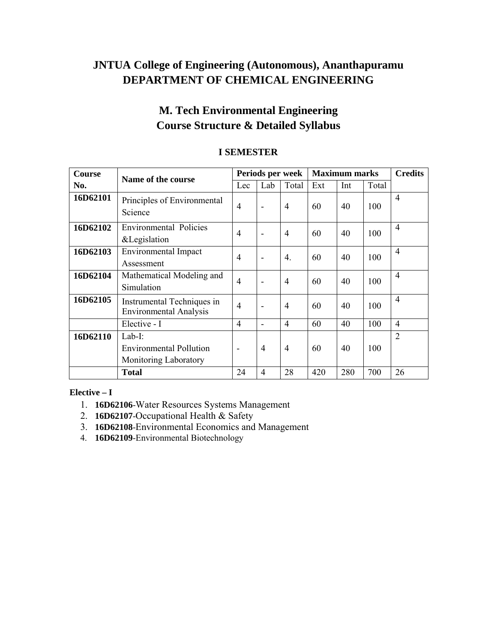# **JNTUA College of Engineering (Autonomous), Ananthapuramu DEPARTMENT OF CHEMICAL ENGINEERING**

# **M. Tech Environmental Engineering Course Structure & Detailed Syllabus**

| Course   | Name of the course                                          | Periods per week |                | <b>Maximum marks</b> |     | <b>Credits</b> |       |                |
|----------|-------------------------------------------------------------|------------------|----------------|----------------------|-----|----------------|-------|----------------|
| No.      |                                                             | Lec              | Lab            | Total                | Ext | Int            | Total |                |
| 16D62101 | Principles of Environmental<br>Science                      | $\overline{4}$   |                | $\overline{4}$       | 60  | 40             | 100   | $\overline{4}$ |
| 16D62102 | <b>Environmental Policies</b><br>&Legislation               | $\overline{4}$   |                | $\overline{4}$       | 60  | 40             | 100   | $\overline{4}$ |
| 16D62103 | <b>Environmental Impact</b><br>Assessment                   | $\overline{4}$   |                | $\overline{4}$ .     | 60  | 40             | 100   | $\overline{4}$ |
| 16D62104 | Mathematical Modeling and<br>Simulation                     | $\overline{4}$   |                | $\overline{4}$       | 60  | 40             | 100   | $\overline{4}$ |
| 16D62105 | Instrumental Techniques in<br><b>Environmental Analysis</b> | $\overline{4}$   |                | $\overline{4}$       | 60  | 40             | 100   | $\overline{4}$ |
|          | Elective - I                                                | $\overline{4}$   |                | $\overline{4}$       | 60  | 40             | 100   | $\overline{4}$ |
| 16D62110 | Lab-I:                                                      |                  |                |                      |     |                |       | 2              |
|          | <b>Environmental Pollution</b>                              | -                | $\overline{4}$ | $\overline{4}$       | 60  | 40             | 100   |                |
|          | Monitoring Laboratory                                       |                  |                |                      |     |                |       |                |
|          | <b>Total</b>                                                | 24               | $\overline{4}$ | 28                   | 420 | 280            | 700   | 26             |

# **I SEMESTER**

#### **Elective – I**

- 1. **16D62106**-Water Resources Systems Management
- 2. **16D62107**-Occupational Health & Safety
- 3. **16D62108**-Environmental Economics and Management
- 4. **16D62109**-Environmental Biotechnology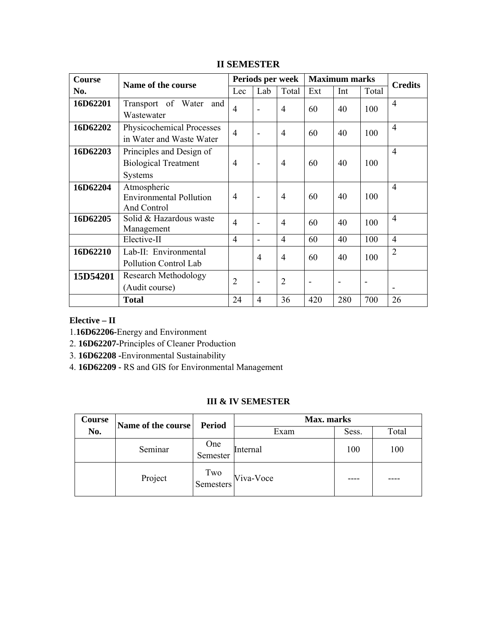| <b>Course</b> | Name of the course                                                 | Periods per week |                          |                | <b>Maximum marks</b>         |                          |       |                |
|---------------|--------------------------------------------------------------------|------------------|--------------------------|----------------|------------------------------|--------------------------|-------|----------------|
| No.           |                                                                    | Lec              | Lab                      | Total          | Ext                          | Int                      | Total | <b>Credits</b> |
| 16D62201      | Transport of Water<br>and<br>Wastewater                            | $\overline{4}$   | ۰                        | $\overline{4}$ | 60                           | 40                       | 100   | $\overline{4}$ |
| 16D62202      | Physicochemical Processes<br>in Water and Waste Water              | $\overline{4}$   |                          | $\overline{4}$ | 60                           | 40                       | 100   | $\overline{4}$ |
| 16D62203      | Principles and Design of<br><b>Biological Treatment</b><br>Systems | $\overline{4}$   | $\overline{\phantom{0}}$ | $\overline{4}$ | 60                           | 40                       | 100   | $\overline{4}$ |
| 16D62204      | Atmospheric<br><b>Environmental Pollution</b><br>And Control       | $\overline{4}$   |                          | $\overline{4}$ | 60                           | 40                       | 100   | 4              |
| 16D62205      | Solid & Hazardous waste<br>Management                              | $\overline{4}$   | ٠                        | $\overline{4}$ | 60                           | 40                       | 100   | $\overline{4}$ |
|               | Elective-II                                                        | $\overline{4}$   |                          | $\overline{4}$ | 60                           | 40                       | 100   | $\overline{4}$ |
| 16D62210      | Lab-II: Environmental<br>Pollution Control Lab                     |                  | $\overline{4}$           | $\overline{4}$ | 60                           | 40                       | 100   | 2              |
| 15D54201      | <b>Research Methodology</b><br>(Audit course)                      | $\overline{2}$   |                          | $\overline{2}$ | $\qquad \qquad \blacksquare$ | $\overline{\phantom{a}}$ |       |                |
|               | <b>Total</b>                                                       | 24               | $\overline{4}$           | 36             | 420                          | 280                      | 700   | 26             |

# **II SEMESTER**

### **Elective – II**

1.**16D62206-**Energy and Environment

2. **16D62207-**Principles of Cleaner Production

3. **16D62208 -**Environmental Sustainability

4. **16D62209 -** RS and GIS for Environmental Management

#### **III & IV SEMESTER**

| Course | Name of the course | <b>Period</b>    | <b>Max.</b> marks |       |       |  |  |
|--------|--------------------|------------------|-------------------|-------|-------|--|--|
| No.    |                    |                  | Exam              | Sess. | Total |  |  |
|        | Seminar            | One<br>Semester  | Internal          | 100   | 100   |  |  |
|        | Project            | Two<br>Semesters | Viva-Voce         |       |       |  |  |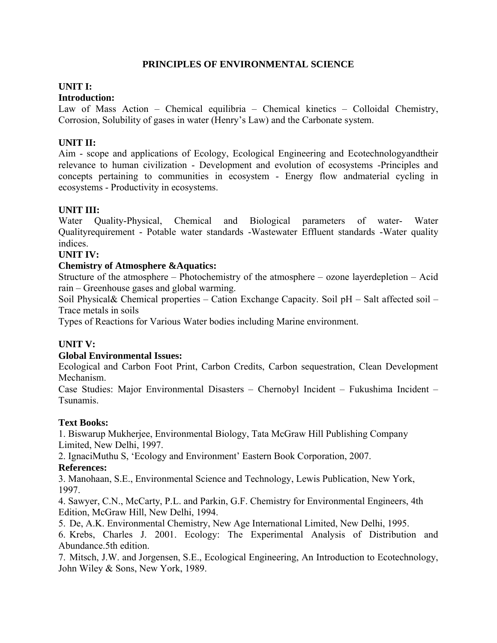### **PRINCIPLES OF ENVIRONMENTAL SCIENCE**

# **UNIT I:**

### **Introduction:**

Law of Mass Action – Chemical equilibria – Chemical kinetics – Colloidal Chemistry, Corrosion, Solubility of gases in water (Henry's Law) and the Carbonate system.

#### **UNIT II:**

Aim - scope and applications of Ecology, Ecological Engineering and Ecotechnologyandtheir relevance to human civilization - Development and evolution of ecosystems -Principles and concepts pertaining to communities in ecosystem - Energy flow andmaterial cycling in ecosystems - Productivity in ecosystems.

#### **UNIT III:**

Water Quality-Physical, Chemical and Biological parameters of water- Water Qualityrequirement - Potable water standards -Wastewater Effluent standards -Water quality indices.

#### **UNIT IV:**

#### **Chemistry of Atmosphere &Aquatics:**

Structure of the atmosphere – Photochemistry of the atmosphere – ozone layerdepletion – Acid rain – Greenhouse gases and global warming.

Soil Physical& Chemical properties – Cation Exchange Capacity. Soil pH – Salt affected soil – Trace metals in soils

Types of Reactions for Various Water bodies including Marine environment.

#### **UNIT V:**

#### **Global Environmental Issues:**

Ecological and Carbon Foot Print, Carbon Credits, Carbon sequestration, Clean Development Mechanism.

Case Studies: Major Environmental Disasters – Chernobyl Incident – Fukushima Incident – Tsunamis.

#### **Text Books:**

1. Biswarup Mukherjee, Environmental Biology, Tata McGraw Hill Publishing Company Limited, New Delhi, 1997.

2. IgnaciMuthu S, 'Ecology and Environment' Eastern Book Corporation, 2007. **References:**

3. Manohaan, S.E., Environmental Science and Technology, Lewis Publication, New York, 1997.

4. Sawyer, C.N., McCarty, P.L. and Parkin, G.F. Chemistry for Environmental Engineers, 4th Edition, McGraw Hill, New Delhi, 1994.

5. De, A.K. Environmental Chemistry, New Age International Limited, New Delhi, 1995.

6. Krebs, Charles J. 2001. Ecology: The Experimental Analysis of Distribution and Abundance.5th edition.

7. Mitsch, J.W. and Jorgensen, S.E., Ecological Engineering, An Introduction to Ecotechnology, John Wiley & Sons, New York, 1989.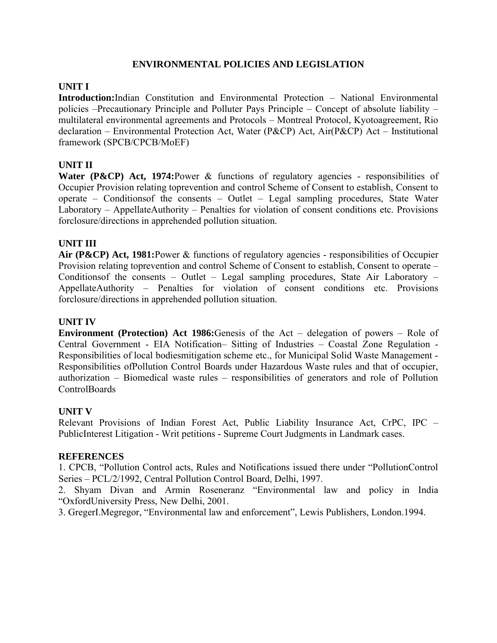### **ENVIRONMENTAL POLICIES AND LEGISLATION**

#### **UNIT I**

**Introduction:**Indian Constitution and Environmental Protection – National Environmental policies –Precautionary Principle and Polluter Pays Principle – Concept of absolute liability – multilateral environmental agreements and Protocols – Montreal Protocol, Kyotoagreement, Rio declaration – Environmental Protection Act, Water (P&CP) Act, Air(P&CP) Act – Institutional framework (SPCB/CPCB/MoEF)

#### **UNIT II**

Water (P&CP) Act, 1974: Power & functions of regulatory agencies - responsibilities of Occupier Provision relating toprevention and control Scheme of Consent to establish, Consent to operate – Conditionsof the consents – Outlet – Legal sampling procedures, State Water Laboratory – AppellateAuthority – Penalties for violation of consent conditions etc. Provisions forclosure/directions in apprehended pollution situation.

#### **UNIT III**

**Air (P&CP) Act, 1981:**Power & functions of regulatory agencies - responsibilities of Occupier Provision relating toprevention and control Scheme of Consent to establish, Consent to operate – Conditionsof the consents – Outlet – Legal sampling procedures, State Air Laboratory – AppellateAuthority – Penalties for violation of consent conditions etc. Provisions forclosure/directions in apprehended pollution situation.

#### **UNIT IV**

**Environment (Protection) Act 1986:**Genesis of the Act – delegation of powers – Role of Central Government - EIA Notification– Sitting of Industries – Coastal Zone Regulation - Responsibilities of local bodiesmitigation scheme etc., for Municipal Solid Waste Management - Responsibilities ofPollution Control Boards under Hazardous Waste rules and that of occupier, authorization – Biomedical waste rules – responsibilities of generators and role of Pollution ControlBoards

#### **UNIT V**

Relevant Provisions of Indian Forest Act, Public Liability Insurance Act, CrPC, IPC – PublicInterest Litigation - Writ petitions - Supreme Court Judgments in Landmark cases.

#### **REFERENCES**

1. CPCB, "Pollution Control acts, Rules and Notifications issued there under "PollutionControl Series – PCL/2/1992, Central Pollution Control Board, Delhi, 1997.

2. Shyam Divan and Armin Roseneranz "Environmental law and policy in India "OxfordUniversity Press, New Delhi, 2001.

3. GregerI.Megregor, "Environmental law and enforcement", Lewis Publishers, London.1994.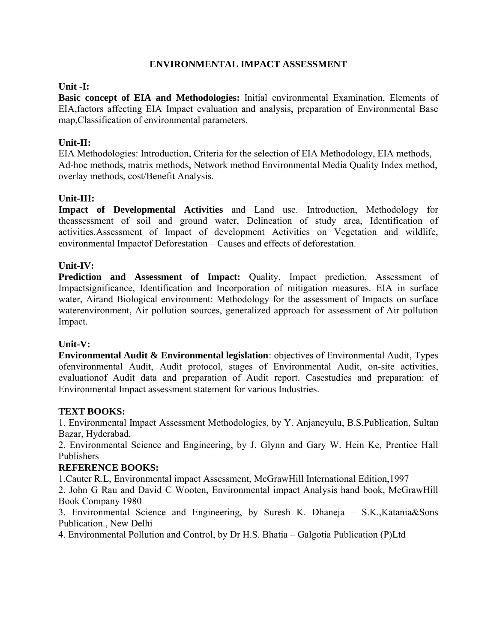### **ENVIRONMENTAL IMPACT ASSESSMENT**

#### **Unit -I:**

**Basic concept of EIA and Methodologies:** Initial environmental Examination, Elements of EIA,factors affecting EIA Impact evaluation and analysis, preparation of Environmental Base map,Classification of environmental parameters.

### **Unit-II:**

EIA Methodologies: Introduction, Criteria for the selection of EIA Methodology, EIA methods, Ad-hoc methods, matrix methods, Network method Environmental Media Quality Index method, overlay methods, cost/Benefit Analysis.

#### **Unit-III:**

**Impact of Developmental Activities** and Land use. Introduction, Methodology for theassessment of soil and ground water, Delineation of study area, Identification of activities.Assessment of Impact of development Activities on Vegetation and wildlife, environmental Impactof Deforestation – Causes and effects of deforestation.

#### **Unit-IV:**

Prediction and Assessment of Impact: Quality, Impact prediction, Assessment of Impactsignificance, Identification and Incorporation of mitigation measures. EIA in surface water, Airand Biological environment: Methodology for the assessment of Impacts on surface waterenvironment, Air pollution sources, generalized approach for assessment of Air pollution Impact.

#### **Unit-V:**

**Environmental Audit & Environmental legislation**: objectives of Environmental Audit, Types ofenvironmental Audit, Audit protocol, stages of Environmental Audit, on-site activities, evaluationof Audit data and preparation of Audit report. Casestudies and preparation: of Environmental Impact assessment statement for various Industries.

#### **TEXT BOOKS:**

1. Environmental Impact Assessment Methodologies, by Y. Anjaneyulu, B.S.Publication, Sultan Bazar, Hyderabad.

2. Environmental Science and Engineering, by J. Glynn and Gary W. Hein Ke, Prentice Hall Publishers

#### **REFERENCE BOOKS:**

1.Cauter R.L, Environmental impact Assessment, McGrawHill International Edition,1997

2. John G Rau and David C Wooten, Environmental impact Analysis hand book, McGrawHill Book Company 1980

3. Environmental Science and Engineering, by Suresh K. Dhaneja – S.K.,Katania&Sons Publication., New Delhi

4. Environmental Pollution and Control, by Dr H.S. Bhatia – Galgotia Publication (P)Ltd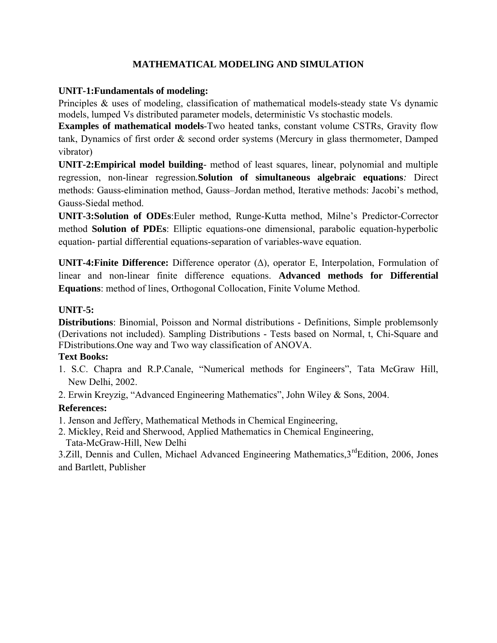# **MATHEMATICAL MODELING AND SIMULATION**

### **UNIT-1:Fundamentals of modeling:**

Principles & uses of modeling, classification of mathematical models-steady state Vs dynamic models, lumped Vs distributed parameter models, deterministic Vs stochastic models.

**Examples of mathematical models**-Two heated tanks, constant volume CSTRs, Gravity flow tank, Dynamics of first order & second order systems (Mercury in glass thermometer, Damped vibrator)

**UNIT-2:Empirical model building***-* method of least squares, linear, polynomial and multiple regression, non-linear regression*.***Solution of simultaneous algebraic equations***:* Direct methods: Gauss-elimination method, Gauss–Jordan method, Iterative methods: Jacobi's method, Gauss-Siedal method.

**UNIT-3:Solution of ODEs**:Euler method, Runge-Kutta method, Milne's Predictor-Corrector method **Solution of PDEs**: Elliptic equations-one dimensional, parabolic equation-hyperbolic equation- partial differential equations-separation of variables-wave equation.

**UNIT-4:Finite Difference:** Difference operator (Δ), operator E, Interpolation, Formulation of linear and non-linear finite difference equations. **Advanced methods for Differential Equations**: method of lines, Orthogonal Collocation, Finite Volume Method.

# **UNIT-5:**

**Distributions**: Binomial, Poisson and Normal distributions - Definitions, Simple problemsonly (Derivations not included). Sampling Distributions - Tests based on Normal, t, Chi-Square and FDistributions.One way and Two way classification of ANOVA.

### **Text Books:**

- 1. S.C. Chapra and R.P.Canale, "Numerical methods for Engineers", Tata McGraw Hill, New Delhi, 2002.
- 2. Erwin Kreyzig, "Advanced Engineering Mathematics", John Wiley & Sons, 2004.

# **References:**

- 1. Jenson and Jeffery, Mathematical Methods in Chemical Engineering,
- 2. Mickley, Reid and Sherwood, Applied Mathematics in Chemical Engineering, Tata-McGraw-Hill, New Delhi

3.Zill, Dennis and Cullen, Michael Advanced Engineering Mathematics,  $3^{rd}$ Edition, 2006, Jones and Bartlett, Publisher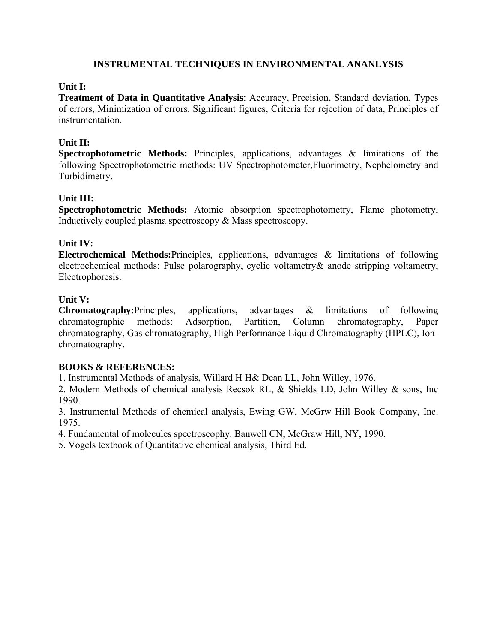### **INSTRUMENTAL TECHNIQUES IN ENVIRONMENTAL ANANLYSIS**

#### **Unit I:**

**Treatment of Data in Quantitative Analysis**: Accuracy, Precision, Standard deviation, Types of errors, Minimization of errors. Significant figures, Criteria for rejection of data, Principles of instrumentation.

#### **Unit II:**

**Spectrophotometric Methods:** Principles, applications, advantages & limitations of the following Spectrophotometric methods: UV Spectrophotometer,Fluorimetry, Nephelometry and Turbidimetry.

#### **Unit III:**

**Spectrophotometric Methods:** Atomic absorption spectrophotometry, Flame photometry, Inductively coupled plasma spectroscopy & Mass spectroscopy.

#### **Unit IV:**

**Electrochemical Methods:**Principles, applications, advantages & limitations of following electrochemical methods: Pulse polarography, cyclic voltametry& anode stripping voltametry, Electrophoresis.

#### **Unit V:**

**Chromatography:**Principles, applications, advantages & limitations of following chromatographic methods: Adsorption, Partition, Column chromatography, Paper chromatography, Gas chromatography, High Performance Liquid Chromatography (HPLC), Ionchromatography.

#### **BOOKS & REFERENCES:**

1. Instrumental Methods of analysis, Willard H H& Dean LL, John Willey, 1976.

2. Modern Methods of chemical analysis Recsok RL, & Shields LD, John Willey & sons, Inc 1990.

3. Instrumental Methods of chemical analysis, Ewing GW, McGrw Hill Book Company, Inc. 1975.

4. Fundamental of molecules spectroscophy. Banwell CN, McGraw Hill, NY, 1990.

5. Vogels textbook of Quantitative chemical analysis, Third Ed.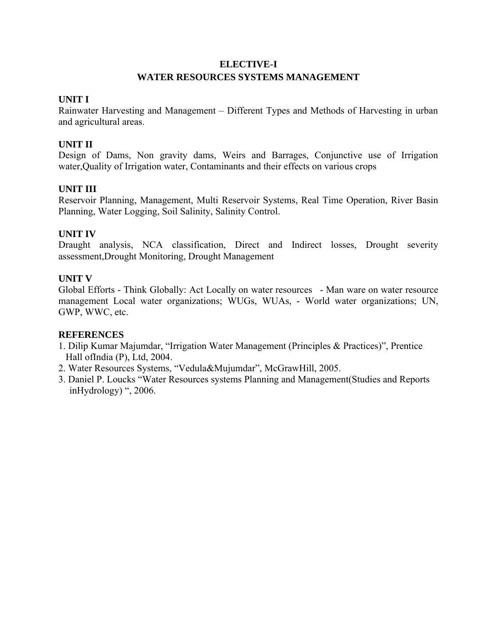# **ELECTIVE-I WATER RESOURCES SYSTEMS MANAGEMENT**

#### **UNIT I**

Rainwater Harvesting and Management – Different Types and Methods of Harvesting in urban and agricultural areas.

#### **UNIT II**

Design of Dams, Non gravity dams, Weirs and Barrages, Conjunctive use of Irrigation water,Quality of Irrigation water, Contaminants and their effects on various crops

#### **UNIT III**

Reservoir Planning, Management, Multi Reservoir Systems, Real Time Operation, River Basin Planning, Water Logging, Soil Salinity, Salinity Control.

#### **UNIT IV**

Draught analysis, NCA classification, Direct and Indirect losses, Drought severity assessment,Drought Monitoring, Drought Management

#### **UNIT V**

Global Efforts - Think Globally: Act Locally on water resources - Man ware on water resource management Local water organizations; WUGs, WUAs, - World water organizations; UN, GWP, WWC, etc.

#### **REFERENCES**

- 1. Dilip Kumar Majumdar, "Irrigation Water Management (Principles & Practices)", Prentice Hall ofIndia (P), Ltd, 2004.
- 2. Water Resources Systems, "Vedula&Mujumdar", McGrawHill, 2005.
- 3. Daniel P. Loucks "Water Resources systems Planning and Management(Studies and Reports inHydrology) ", 2006.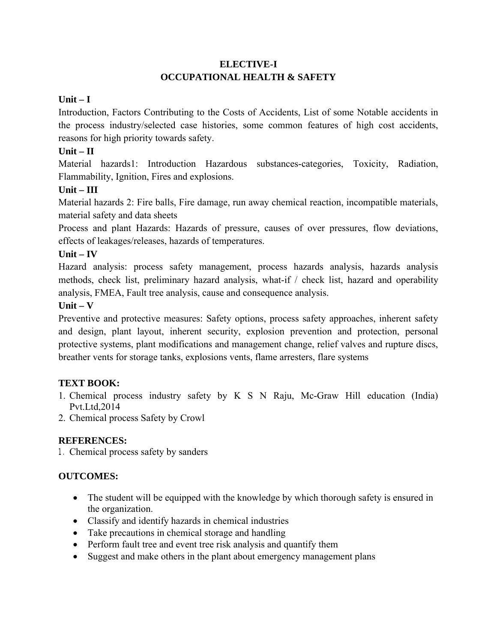# **ELECTIVE-I OCCUPATIONAL HEALTH & SAFETY**

# **Unit – I**

Introduction, Factors Contributing to the Costs of Accidents, List of some Notable accidents in the process industry/selected case histories, some common features of high cost accidents, reasons for high priority towards safety.

# **Unit – II**

Material hazards1: Introduction Hazardous substances-categories, Toxicity, Radiation, Flammability, Ignition, Fires and explosions.

# **Unit – III**

Material hazards 2: Fire balls, Fire damage, run away chemical reaction, incompatible materials, material safety and data sheets

Process and plant Hazards: Hazards of pressure, causes of over pressures, flow deviations, effects of leakages/releases, hazards of temperatures.

# **Unit – IV**

Hazard analysis: process safety management, process hazards analysis, hazards analysis methods, check list, preliminary hazard analysis, what-if / check list, hazard and operability analysis, FMEA, Fault tree analysis, cause and consequence analysis.

# **Unit – V**

Preventive and protective measures: Safety options, process safety approaches, inherent safety and design, plant layout, inherent security, explosion prevention and protection, personal protective systems, plant modifications and management change, relief valves and rupture discs, breather vents for storage tanks, explosions vents, flame arresters, flare systems

# **TEXT BOOK:**

- 1. Chemical process industry safety by K S N Raju, Mc-Graw Hill education (India) Pvt.Ltd,2014
- 2. Chemical process Safety by Crowl

# **REFERENCES:**

1. Chemical process safety by sanders

# **OUTCOMES:**

- The student will be equipped with the knowledge by which thorough safety is ensured in the organization.
- Classify and identify hazards in chemical industries
- Take precautions in chemical storage and handling
- Perform fault tree and event tree risk analysis and quantify them
- Suggest and make others in the plant about emergency management plans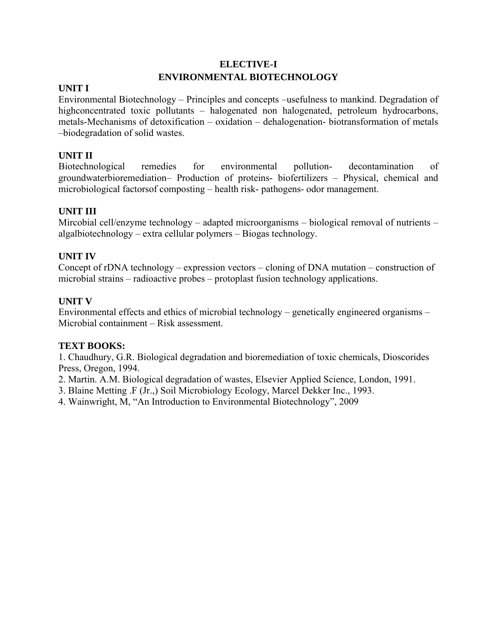# **ELECTIVE-I ENVIRONMENTAL BIOTECHNOLOGY**

### **UNIT I**

Environmental Biotechnology – Principles and concepts –usefulness to mankind. Degradation of highconcentrated toxic pollutants – halogenated non halogenated, petroleum hydrocarbons, metals-Mechanisms of detoxification – oxidation – dehalogenation- biotransformation of metals –biodegradation of solid wastes.

### **UNIT II**

Biotechnological remedies for environmental pollution- decontamination of groundwaterbioremediation– Production of proteins- biofertilizers – Physical, chemical and microbiological factorsof composting – health risk- pathogens- odor management.

### **UNIT III**

Mircobial cell/enzyme technology – adapted microorganisms – biological removal of nutrients – algalbiotechnology – extra cellular polymers – Biogas technology.

#### **UNIT IV**

Concept of rDNA technology – expression vectors – cloning of DNA mutation – construction of microbial strains – radioactive probes – protoplast fusion technology applications.

#### **UNIT V**

Environmental effects and ethics of microbial technology – genetically engineered organisms – Microbial containment – Risk assessment.

#### **TEXT BOOKS:**

1. Chaudhury, G.R. Biological degradation and bioremediation of toxic chemicals, Dioscorides Press, Oregon, 1994.

2. Martin. A.M. Biological degradation of wastes, Elsevier Applied Science, London, 1991.

3. Blaine Metting .F (Jr.,) Soil Microbiology Ecology, Marcel Dekker Inc., 1993.

4. Wainwright, M, "An Introduction to Environmental Biotechnology", 2009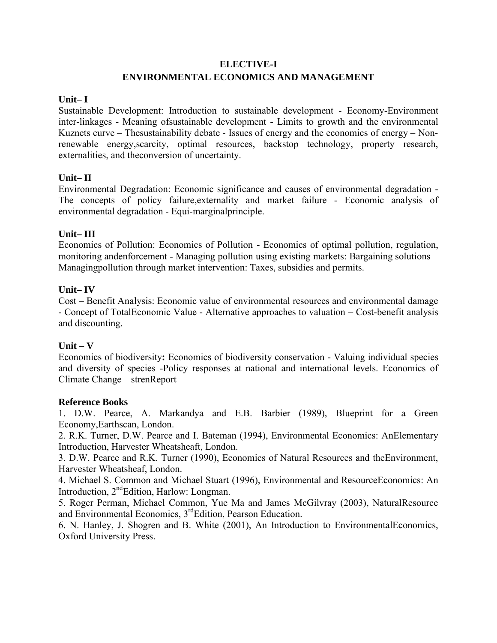#### **ELECTIVE-I**

### **ENVIRONMENTAL ECONOMICS AND MANAGEMENT**

#### **Unit– I**

Sustainable Development: Introduction to sustainable development - Economy-Environment inter-linkages - Meaning ofsustainable development - Limits to growth and the environmental Kuznets curve – Thesustainability debate - Issues of energy and the economics of energy – Nonrenewable energy,scarcity, optimal resources, backstop technology, property research, externalities, and theconversion of uncertainty.

#### **Unit– II**

Environmental Degradation: Economic significance and causes of environmental degradation - The concepts of policy failure,externality and market failure - Economic analysis of environmental degradation - Equi-marginalprinciple.

#### **Unit– III**

Economics of Pollution: Economics of Pollution - Economics of optimal pollution, regulation, monitoring andenforcement - Managing pollution using existing markets: Bargaining solutions – Managingpollution through market intervention: Taxes, subsidies and permits.

#### **Unit– IV**

Cost – Benefit Analysis: Economic value of environmental resources and environmental damage - Concept of TotalEconomic Value - Alternative approaches to valuation – Cost-benefit analysis and discounting.

### **Unit – V**

Economics of biodiversity**:** Economics of biodiversity conservation - Valuing individual species and diversity of species -Policy responses at national and international levels. Economics of Climate Change – strenReport

#### **Reference Books**

1. D.W. Pearce, A. Markandya and E.B. Barbier (1989), Blueprint for a Green Economy,Earthscan, London.

2. R.K. Turner, D.W. Pearce and I. Bateman (1994), Environmental Economics: AnElementary Introduction, Harvester Wheatsheaft, London.

3. D.W. Pearce and R.K. Turner (1990), Economics of Natural Resources and theEnvironment, Harvester Wheatsheaf, London.

4. Michael S. Common and Michael Stuart (1996), Environmental and ResourceEconomics: An Introduction,  $2<sup>nd</sup> Edition$ , Harlow: Longman.

5. Roger Perman, Michael Common, Yue Ma and James McGilvray (2003), NaturalResource and Environmental Economics, 3<sup>rd</sup>Edition, Pearson Education.

6. N. Hanley, J. Shogren and B. White (2001), An Introduction to EnvironmentalEconomics, Oxford University Press.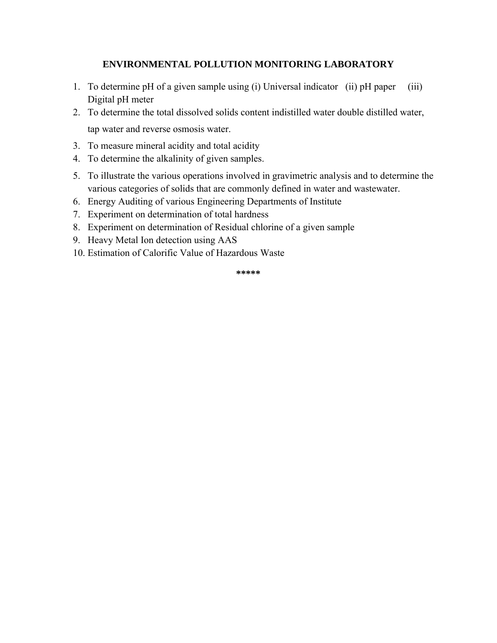### **ENVIRONMENTAL POLLUTION MONITORING LABORATORY**

- 1. To determine pH of a given sample using (i) Universal indicator (ii) pH paper (iii) Digital pH meter
- 2. To determine the total dissolved solids content indistilled water double distilled water, tap water and reverse osmosis water.
- 3. To measure mineral acidity and total acidity
- 4. To determine the alkalinity of given samples.
- 5. To illustrate the various operations involved in gravimetric analysis and to determine the various categories of solids that are commonly defined in water and wastewater.
- 6. Energy Auditing of various Engineering Departments of Institute
- 7. Experiment on determination of total hardness
- 8. Experiment on determination of Residual chlorine of a given sample
- 9. Heavy Metal Ion detection using AAS
- 10. Estimation of Calorific Value of Hazardous Waste

**\*\*\*\*\***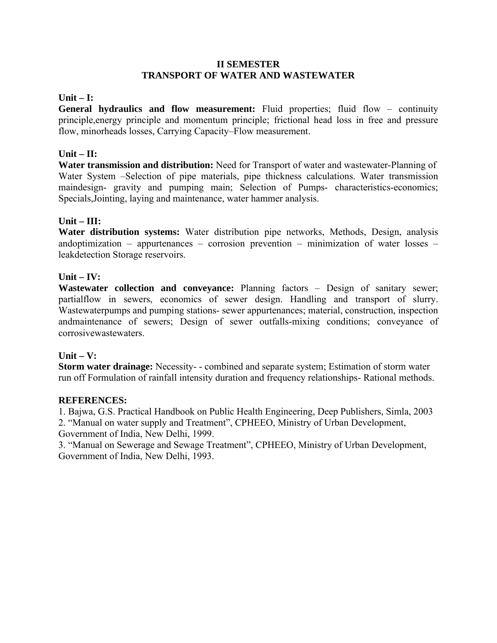#### **II SEMESTER TRANSPORT OF WATER AND WASTEWATER**

#### **Unit – I:**

General hydraulics and flow measurement: Fluid properties; fluid flow – continuity principle,energy principle and momentum principle; frictional head loss in free and pressure flow, minorheads losses, Carrying Capacity–Flow measurement.

#### **Unit – II:**

**Water transmission and distribution:** Need for Transport of water and wastewater-Planning of Water System –Selection of pipe materials, pipe thickness calculations. Water transmission maindesign- gravity and pumping main; Selection of Pumps- characteristics-economics; Specials,Jointing, laying and maintenance, water hammer analysis.

#### **Unit – III:**

**Water distribution systems:** Water distribution pipe networks, Methods, Design, analysis andoptimization – appurtenances – corrosion prevention – minimization of water losses – leakdetection Storage reservoirs.

#### **Unit – IV:**

**Wastewater collection and conveyance:** Planning factors – Design of sanitary sewer; partialflow in sewers, economics of sewer design. Handling and transport of slurry. Wastewaterpumps and pumping stations- sewer appurtenances; material, construction, inspection andmaintenance of sewers; Design of sewer outfalls-mixing conditions; conveyance of corrosivewastewaters.

### **Unit – V:**

**Storm water drainage:** Necessity- - combined and separate system; Estimation of storm water run off Formulation of rainfall intensity duration and frequency relationships- Rational methods.

#### **REFERENCES:**

1. Bajwa, G.S. Practical Handbook on Public Health Engineering, Deep Publishers, Simla, 2003

2. "Manual on water supply and Treatment", CPHEEO, Ministry of Urban Development, Government of India, New Delhi, 1999.

3. "Manual on Sewerage and Sewage Treatment", CPHEEO, Ministry of Urban Development, Government of India, New Delhi, 1993.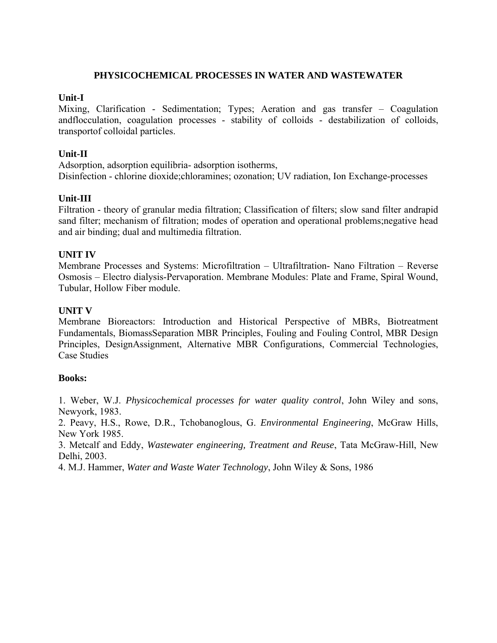#### **PHYSICOCHEMICAL PROCESSES IN WATER AND WASTEWATER**

#### **Unit-I**

Mixing, Clarification - Sedimentation; Types; Aeration and gas transfer – Coagulation andflocculation, coagulation processes - stability of colloids - destabilization of colloids, transportof colloidal particles.

### **Unit-II**

Adsorption, adsorption equilibria- adsorption isotherms, Disinfection - chlorine dioxide;chloramines; ozonation; UV radiation, Ion Exchange-processes

### **Unit-III**

Filtration - theory of granular media filtration; Classification of filters; slow sand filter andrapid sand filter; mechanism of filtration; modes of operation and operational problems;negative head and air binding; dual and multimedia filtration.

### **UNIT IV**

Membrane Processes and Systems: Microfiltration – Ultrafiltration- Nano Filtration – Reverse Osmosis – Electro dialysis-Pervaporation. Membrane Modules: Plate and Frame, Spiral Wound, Tubular, Hollow Fiber module.

### **UNIT V**

Membrane Bioreactors: Introduction and Historical Perspective of MBRs, Biotreatment Fundamentals, BiomassSeparation MBR Principles, Fouling and Fouling Control, MBR Design Principles, DesignAssignment, Alternative MBR Configurations, Commercial Technologies, Case Studies

### **Books:**

1. Weber, W.J. *Physicochemical processes for water quality control*, John Wiley and sons, Newyork, 1983.

2. Peavy, H.S., Rowe, D.R., Tchobanoglous, G. *Environmental Engineering*, McGraw Hills, New York 1985.

3. Metcalf and Eddy, *Wastewater engineering, Treatment and Reuse*, Tata McGraw-Hill, New Delhi, 2003.

4. M.J. Hammer, *Water and Waste Water Technology*, John Wiley & Sons, 1986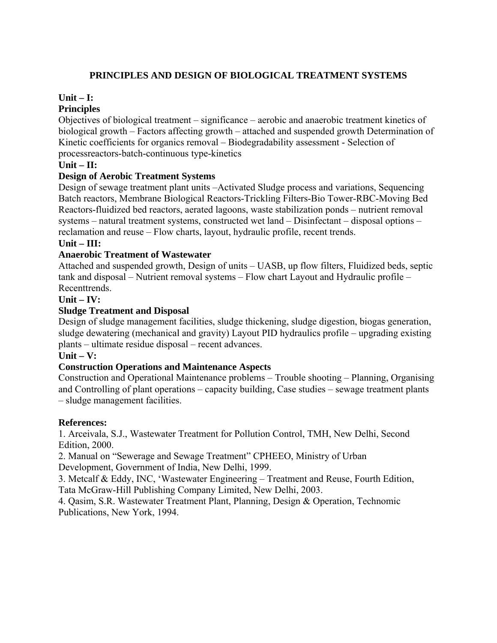# **PRINCIPLES AND DESIGN OF BIOLOGICAL TREATMENT SYSTEMS**

# **Unit – I:**

# **Principles**

Objectives of biological treatment – significance – aerobic and anaerobic treatment kinetics of biological growth – Factors affecting growth – attached and suspended growth Determination of Kinetic coefficients for organics removal – Biodegradability assessment - Selection of processreactors-batch-continuous type-kinetics

# **Unit – II:**

# **Design of Aerobic Treatment Systems**

Design of sewage treatment plant units –Activated Sludge process and variations, Sequencing Batch reactors, Membrane Biological Reactors-Trickling Filters-Bio Tower-RBC-Moving Bed Reactors-fluidized bed reactors, aerated lagoons, waste stabilization ponds – nutrient removal systems – natural treatment systems, constructed wet land – Disinfectant – disposal options – reclamation and reuse – Flow charts, layout, hydraulic profile, recent trends.

### **Unit – III:**

# **Anaerobic Treatment of Wastewater**

Attached and suspended growth, Design of units – UASB, up flow filters, Fluidized beds, septic tank and disposal – Nutrient removal systems – Flow chart Layout and Hydraulic profile – **Recenttrends** 

### **Unit – IV:**

# **Sludge Treatment and Disposal**

Design of sludge management facilities, sludge thickening, sludge digestion, biogas generation, sludge dewatering (mechanical and gravity) Layout PID hydraulics profile – upgrading existing plants – ultimate residue disposal – recent advances.

#### **Unit – V:**

### **Construction Operations and Maintenance Aspects**

Construction and Operational Maintenance problems – Trouble shooting – Planning, Organising and Controlling of plant operations – capacity building, Case studies – sewage treatment plants – sludge management facilities.

### **References:**

1. Arceivala, S.J., Wastewater Treatment for Pollution Control, TMH, New Delhi, Second Edition, 2000.

2. Manual on "Sewerage and Sewage Treatment" CPHEEO, Ministry of Urban

Development, Government of India, New Delhi, 1999.

3. Metcalf & Eddy, INC, 'Wastewater Engineering – Treatment and Reuse, Fourth Edition, Tata McGraw-Hill Publishing Company Limited, New Delhi, 2003.

4. Qasim, S.R. Wastewater Treatment Plant, Planning, Design & Operation, Technomic Publications, New York, 1994.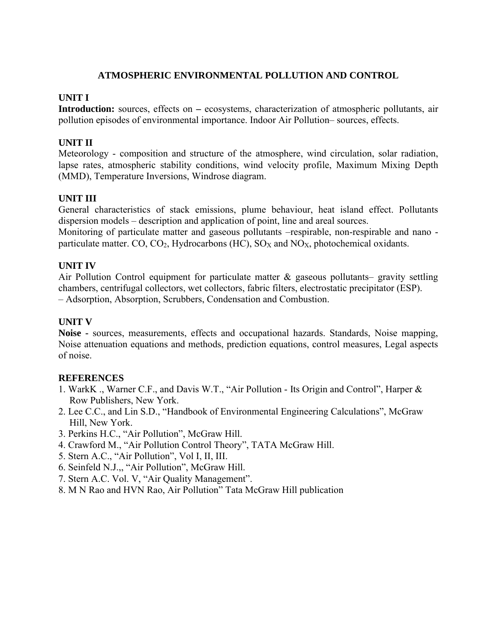#### **ATMOSPHERIC ENVIRONMENTAL POLLUTION AND CONTROL**

#### **UNIT I**

**Introduction:** sources, effects on – ecosystems, characterization of atmospheric pollutants, air pollution episodes of environmental importance. Indoor Air Pollution– sources, effects.

#### **UNIT II**

Meteorology - composition and structure of the atmosphere, wind circulation, solar radiation, lapse rates, atmospheric stability conditions, wind velocity profile, Maximum Mixing Depth (MMD), Temperature Inversions, Windrose diagram.

#### **UNIT III**

General characteristics of stack emissions, plume behaviour, heat island effect. Pollutants dispersion models – description and application of point, line and areal sources.

Monitoring of particulate matter and gaseous pollutants –respirable, non-respirable and nano particulate matter. CO,  $CO_2$ , Hydrocarbons (HC),  $SO_x$  and  $NO_x$ , photochemical oxidants.

#### **UNIT IV**

Air Pollution Control equipment for particulate matter  $\&$  gaseous pollutants– gravity settling chambers, centrifugal collectors, wet collectors, fabric filters, electrostatic precipitator (ESP). – Adsorption, Absorption, Scrubbers, Condensation and Combustion.

#### **UNIT V**

**Noise -** sources, measurements, effects and occupational hazards. Standards, Noise mapping, Noise attenuation equations and methods, prediction equations, control measures, Legal aspects of noise.

#### **REFERENCES**

- 1. WarkK ., Warner C.F., and Davis W.T., "Air Pollution Its Origin and Control", Harper & Row Publishers, New York.
- 2. Lee C.C., and Lin S.D., "Handbook of Environmental Engineering Calculations", McGraw Hill, New York.
- 3. Perkins H.C., "Air Pollution", McGraw Hill.
- 4. Crawford M., "Air Pollution Control Theory", TATA McGraw Hill.
- 5. Stern A.C., "Air Pollution", Vol I, II, III.
- 6. Seinfeld N.J.,, "Air Pollution", McGraw Hill.
- 7. Stern A.C. Vol. V, "Air Quality Management".
- 8. M N Rao and HVN Rao, Air Pollution" Tata McGraw Hill publication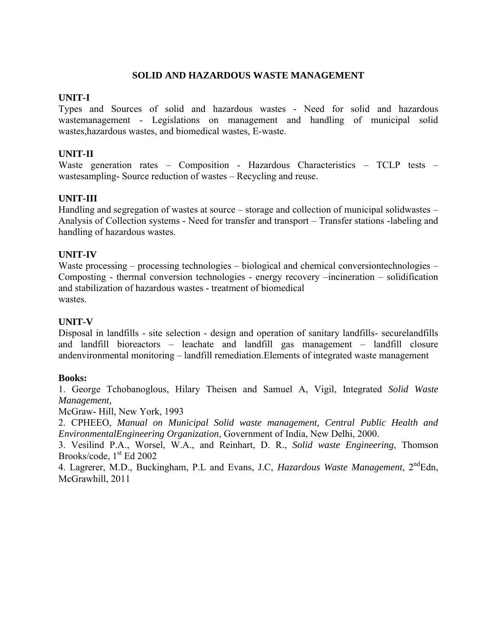#### **SOLID AND HAZARDOUS WASTE MANAGEMENT**

#### **UNIT-I**

Types and Sources of solid and hazardous wastes - Need for solid and hazardous wastemanagement - Legislations on management and handling of municipal solid wastes,hazardous wastes, and biomedical wastes, E-waste.

### **UNIT-II**

Waste generation rates – Composition - Hazardous Characteristics – TCLP tests – wastesampling- Source reduction of wastes – Recycling and reuse.

### **UNIT-III**

Handling and segregation of wastes at source – storage and collection of municipal solidwastes – Analysis of Collection systems - Need for transfer and transport – Transfer stations -labeling and handling of hazardous wastes.

#### **UNIT-IV**

Waste processing – processing technologies – biological and chemical conversiontechnologies – Composting - thermal conversion technologies - energy recovery –incineration – solidification and stabilization of hazardous wastes - treatment of biomedical wastes

#### **UNIT-V**

Disposal in landfills - site selection - design and operation of sanitary landfills- securelandfills and landfill bioreactors – leachate and landfill gas management – landfill closure andenvironmental monitoring – landfill remediation.Elements of integrated waste management

#### **Books:**

1. George Tchobanoglous, Hilary Theisen and Samuel A, Vigil, Integrated *Solid Waste Management,*

McGraw- Hill, New York, 1993

2. CPHEEO, *Manual on Municipal Solid waste management, Central Public Health and EnvironmentalEngineering Organization*, Government of India, New Delhi, 2000.

3. Vesilind P.A., Worsel, W.A., and Reinhart, D. R., *Solid waste Engineering*, Thomson Brooks/code,  $1<sup>st</sup>$  Ed 2002

4. Lagrerer, M.D., Buckingham, P.L and Evans, J.C. *Hazardous Waste Management*, 2<sup>nd</sup>Edn, McGrawhill, 2011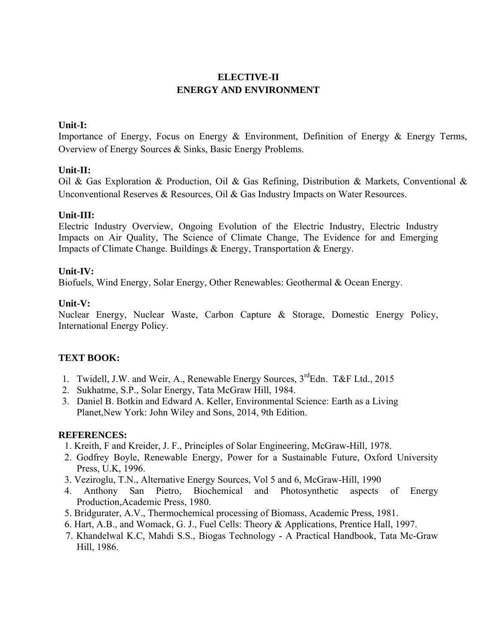# **ELECTIVE-II ENERGY AND ENVIRONMENT**

#### **Unit-I:**

Importance of Energy, Focus on Energy & Environment, Definition of Energy & Energy Terms, Overview of Energy Sources & Sinks, Basic Energy Problems.

#### **Unit-II:**

Oil & Gas Exploration & Production, Oil & Gas Refining, Distribution & Markets, Conventional & Unconventional Reserves & Resources, Oil & Gas Industry Impacts on Water Resources.

#### **Unit-III:**

Electric Industry Overview, Ongoing Evolution of the Electric Industry, Electric Industry Impacts on Air Quality, The Science of Climate Change, The Evidence for and Emerging Impacts of Climate Change. Buildings & Energy, Transportation & Energy.

#### **Unit-IV:**

Biofuels, Wind Energy, Solar Energy, Other Renewables: Geothermal & Ocean Energy.

#### **Unit-V:**

Nuclear Energy, Nuclear Waste, Carbon Capture & Storage, Domestic Energy Policy, International Energy Policy.

### **TEXT BOOK:**

- 1. Twidell, J.W. and Weir, A., Renewable Energy Sources,  $3^{rd}$ Edn. T&F Ltd., 2015
- 2. Sukhatme, S.P., Solar Energy, Tata McGraw Hill, 1984.
- 3. Daniel B. Botkin and Edward A. Keller, Environmental Science: Earth as a Living Planet,New York: John Wiley and Sons, 2014, 9th Edition.

### **REFERENCES:**

- 1. Kreith, F and Kreider, J. F., Principles of Solar Engineering, McGraw-Hill, 1978.
- 2. Godfrey Boyle, Renewable Energy, Power for a Sustainable Future, Oxford University Press, U.K, 1996.
- 3. Veziroglu, T.N., Alternative Energy Sources, Vol 5 and 6, McGraw-Hill, 1990
- 4. Anthony San Pietro, Biochemical and Photosynthetic aspects of Energy Production,Academic Press, 1980.
- 5. Bridgurater, A.V., Thermochemical processing of Biomass, Academic Press, 1981.
- 6. Hart, A.B., and Womack, G. J., Fuel Cells: Theory & Applications, Prentice Hall, 1997.
- 7. Khandelwal K.C, Mahdi S.S., Biogas Technology A Practical Handbook, Tata Mc-Graw Hill, 1986.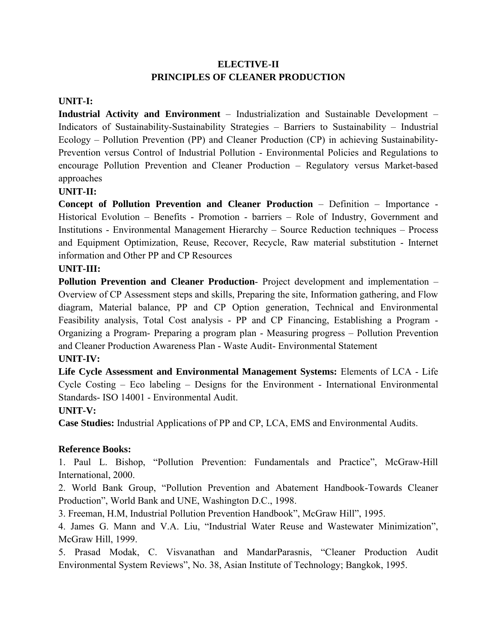# **ELECTIVE-II PRINCIPLES OF CLEANER PRODUCTION**

### **UNIT-I:**

**Industrial Activity and Environment** – Industrialization and Sustainable Development – Indicators of Sustainability-Sustainability Strategies – Barriers to Sustainability – Industrial Ecology – Pollution Prevention (PP) and Cleaner Production (CP) in achieving Sustainability-Prevention versus Control of Industrial Pollution - Environmental Policies and Regulations to encourage Pollution Prevention and Cleaner Production – Regulatory versus Market-based approaches

### **UNIT-II:**

**Concept of Pollution Prevention and Cleaner Production** – Definition – Importance - Historical Evolution – Benefits - Promotion - barriers – Role of Industry, Government and Institutions - Environmental Management Hierarchy – Source Reduction techniques – Process and Equipment Optimization, Reuse, Recover, Recycle, Raw material substitution - Internet information and Other PP and CP Resources

# **UNIT-III:**

**Pollution Prevention and Cleaner Production**- Project development and implementation – Overview of CP Assessment steps and skills, Preparing the site, Information gathering, and Flow diagram, Material balance, PP and CP Option generation, Technical and Environmental Feasibility analysis, Total Cost analysis - PP and CP Financing, Establishing a Program - Organizing a Program- Preparing a program plan - Measuring progress – Pollution Prevention and Cleaner Production Awareness Plan - Waste Audit- Environmental Statement

# **UNIT-IV:**

**Life Cycle Assessment and Environmental Management Systems:** Elements of LCA - Life Cycle Costing – Eco labeling – Designs for the Environment - International Environmental Standards- ISO 14001 - Environmental Audit.

# **UNIT-V:**

**Case Studies:** Industrial Applications of PP and CP, LCA, EMS and Environmental Audits.

### **Reference Books:**

1. Paul L. Bishop, "Pollution Prevention: Fundamentals and Practice", McGraw-Hill International, 2000.

2. World Bank Group, "Pollution Prevention and Abatement Handbook-Towards Cleaner Production", World Bank and UNE, Washington D.C., 1998.

3. Freeman, H.M, Industrial Pollution Prevention Handbook", McGraw Hill", 1995.

4. James G. Mann and V.A. Liu, "Industrial Water Reuse and Wastewater Minimization", McGraw Hill, 1999.

5. Prasad Modak, C. Visvanathan and MandarParasnis, "Cleaner Production Audit Environmental System Reviews", No. 38, Asian Institute of Technology; Bangkok, 1995.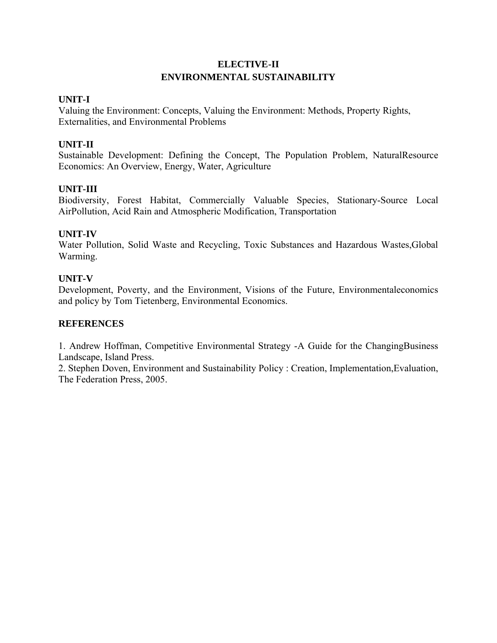# **ELECTIVE-II ENVIRONMENTAL SUSTAINABILITY**

#### **UNIT-I**

Valuing the Environment: Concepts, Valuing the Environment: Methods, Property Rights, Externalities, and Environmental Problems

#### **UNIT-II**

Sustainable Development: Defining the Concept, The Population Problem, NaturalResource Economics: An Overview, Energy, Water, Agriculture

#### **UNIT-III**

Biodiversity, Forest Habitat, Commercially Valuable Species, Stationary-Source Local AirPollution, Acid Rain and Atmospheric Modification, Transportation

#### **UNIT-IV**

Water Pollution, Solid Waste and Recycling, Toxic Substances and Hazardous Wastes,Global Warming.

#### **UNIT-V**

Development, Poverty, and the Environment, Visions of the Future, Environmentaleconomics and policy by Tom Tietenberg, Environmental Economics.

#### **REFERENCES**

1. Andrew Hoffman, Competitive Environmental Strategy -A Guide for the ChangingBusiness Landscape, Island Press.

2. Stephen Doven, Environment and Sustainability Policy : Creation, Implementation,Evaluation, The Federation Press, 2005.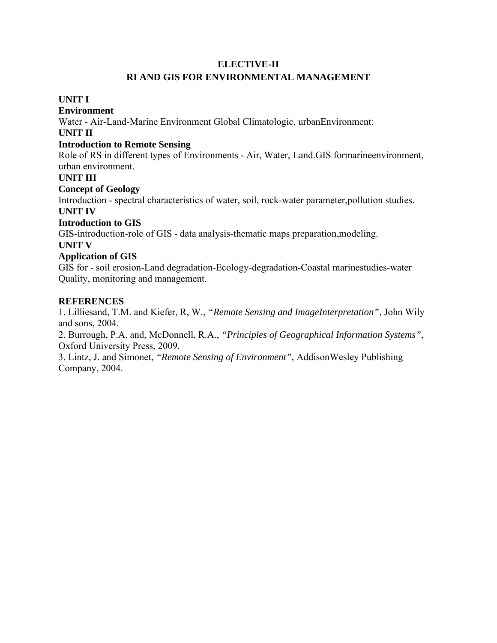#### **ELECTIVE-II**

## **RI AND GIS FOR ENVIRONMENTAL MANAGEMENT**

#### **UNIT I**

#### **Environment**

Water - Air-Land-Marine Environment Global Climatologic, urbanEnvironment:

### **UNIT II**

#### **Introduction to Remote Sensing**

Role of RS in different types of Environments - Air, Water, Land.GIS formarineenvironment, urban environment.

#### **UNIT III**

# **Concept of Geology**

Introduction - spectral characteristics of water, soil, rock-water parameter,pollution studies. **UNIT IV**

#### **Introduction to GIS**

GIS-introduction-role of GIS - data analysis-thematic maps preparation,modeling.

#### **UNIT V**

### **Application of GIS**

GIS for - soil erosion-Land degradation-Ecology-degradation-Coastal marinestudies-water Quality, monitoring and management.

### **REFERENCES**

1. Lilliesand, T.M. and Kiefer, R, W., *"Remote Sensing and ImageInterpretation"*, John Wily and sons, 2004.

2. Burrough, P.A. and, McDonnell, R.A., *"Principles of Geographical Information Systems"*, Oxford University Press, 2009.

3. Lintz, J. and Simonet, *"Remote Sensing of Environment",* AddisonWesley Publishing Company, 2004.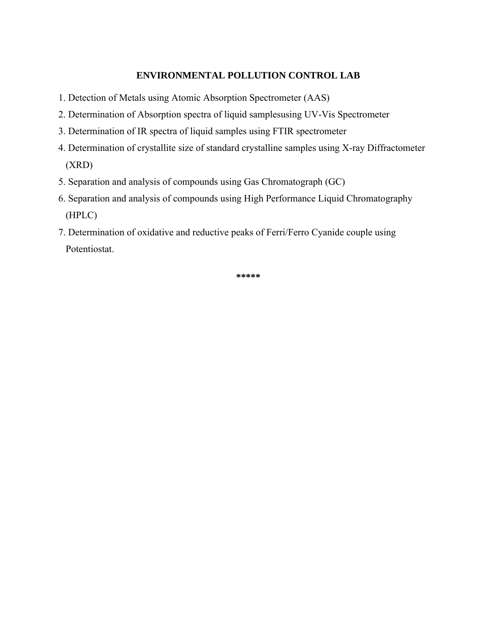#### **ENVIRONMENTAL POLLUTION CONTROL LAB**

- 1. Detection of Metals using Atomic Absorption Spectrometer (AAS)
- 2. Determination of Absorption spectra of liquid samplesusing UV-Vis Spectrometer
- 3. Determination of IR spectra of liquid samples using FTIR spectrometer
- 4. Determination of crystallite size of standard crystalline samples using X-ray Diffractometer (XRD)
- 5. Separation and analysis of compounds using Gas Chromatograph (GC)
- 6. Separation and analysis of compounds using High Performance Liquid Chromatography (HPLC)
- 7. Determination of oxidative and reductive peaks of Ferri/Ferro Cyanide couple using Potentiostat.

**\*\*\*\*\***